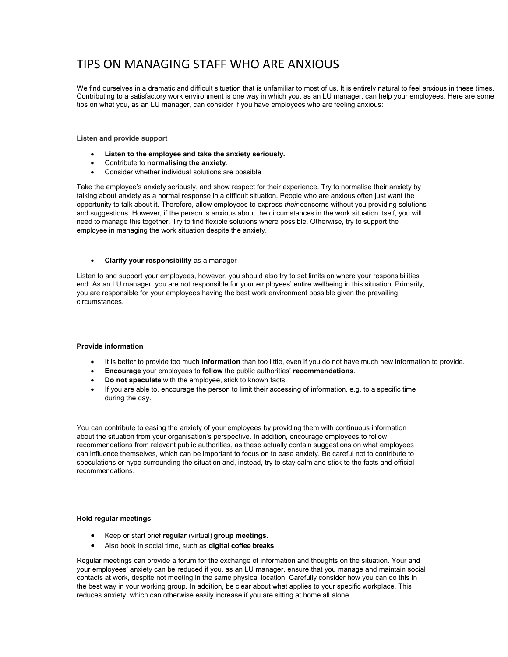# TIPS ON MANAGING STAFF WHO ARE ANXIOUS

Contributing to a satisfactory work environment is one way in which you, as an LU manager, can help your employees. Here are some We find ourselves in a dramatic and difficult situation that is unfamiliar to most of us. It is entirely natural to feel anxious in these times. tips on what you, as an LU manager, can consider if you have employees who are feeling anxious:

## Listen and provide support

- Listen to the employee and take the anxiety seriously.
- Contribute to normalising the anxiety.
- Consider whether individual solutions are possible

Take the employee's anxiety seriously, and show respect for their experience. Try to normalise their anxiety by talking about anxiety as a normal response in a difficult situation. People who are anxious often just want the opportunity to talk about it. Therefore, allow employees to express their concerns without you providing solutions and suggestions. However, if the person is anxious about the circumstances in the work situation itself, you will need to manage this together. Try to find flexible solutions where possible. Otherwise, try to support the employee in managing the work situation despite the anxiety.

### Clarify your responsibility as a manager

Listen to and support your employees, however, you should also try to set limits on where your responsibilities end. As an LU manager, you are not responsible for your employees' entire wellbeing in this situation. Primarily, you are responsible for your employees having the best work environment possible given the prevailing circumstances.

### Provide information

- It is better to provide too much information than too little, even if you do not have much new information to provide.
- Encourage your employees to follow the public authorities' recommendations.
- Do not speculate with the employee, stick to known facts.
- If you are able to, encourage the person to limit their accessing of information, e.g. to a specific time during the day.

You can contribute to easing the anxiety of your employees by providing them with continuous information about the situation from your organisation's perspective. In addition, encourage employees to follow recommendations from relevant public authorities, as these actually contain suggestions on what employees can influence themselves, which can be important to focus on to ease anxiety. Be careful not to contribute to speculations or hype surrounding the situation and, instead, try to stay calm and stick to the facts and official recommendations.

### Hold regular meetings

- Keep or start brief regular (virtual) group meetings.
- Also book in social time, such as digital coffee breaks

Regular meetings can provide a forum for the exchange of information and thoughts on the situation. Your and your employees' anxiety can be reduced if you, as an LU manager, ensure that you manage and maintain social contacts at work, despite not meeting in the same physical location. Carefully consider how you can do this in the best way in your working group. In addition, be clear about what applies to your specific workplace. This reduces anxiety, which can otherwise easily increase if you are sitting at home all alone.